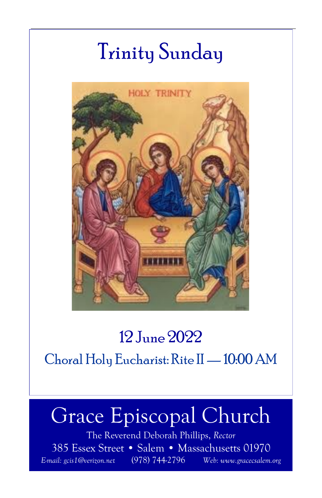# Trinity Sunday



### 12 June 2022

Choral Holy Eucharist: Rite II —10:00 AM

# Grace Episcopal Church

The Reverend Deborah Phillips, Rector 385 Essex Street • Salem • Massachusetts 01970 E-mail: gcis1@verizon.net (978) 744-2796 Web: www.gracecsalem.org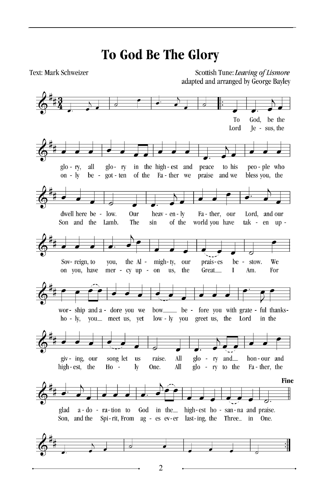### **To God Be The Glory**

Text: Mark Schweizer

Scottish Tune: Leaving of Lismore adapted and arranged by George Bayley



 $\overline{2}$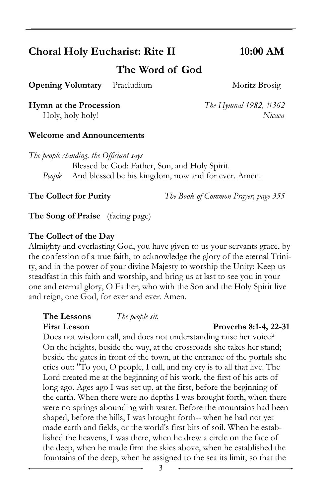#### Choral Holy Eucharist: Rite II 10:00 AM

The Word of God

**Opening Voluntary** Praeludium Moritz Brosig

Hymn at the Procession The Hymnal 1982, #362

Holy, holy holy! Nicaea

#### Welcome and Announcements

The people standing, the Officiant says Blessed be God: Father, Son, and Holy Spirit. People And blessed be his kingdom, now and for ever. Amen.

The Collect for Purity The Book of Common Prayer, page 355

The Song of Praise (facing page)

#### The Collect of the Day

Almighty and everlasting God, you have given to us your servants grace, by the confession of a true faith, to acknowledge the glory of the eternal Trinity, and in the power of your divine Majesty to worship the Unity: Keep us steadfast in this faith and worship, and bring us at last to see you in your one and eternal glory, O Father; who with the Son and the Holy Spirit live and reign, one God, for ever and ever. Amen.

#### The Lessons The people sit. First Lesson Proverbs 8:1-4, 22-31

Does not wisdom call, and does not understanding raise her voice? On the heights, beside the way, at the crossroads she takes her stand; beside the gates in front of the town, at the entrance of the portals she cries out: "To you, O people, I call, and my cry is to all that live. The Lord created me at the beginning of his work, the first of his acts of long ago. Ages ago I was set up, at the first, before the beginning of the earth. When there were no depths I was brought forth, when there were no springs abounding with water. Before the mountains had been shaped, before the hills, I was brought forth-- when he had not yet made earth and fields, or the world's first bits of soil. When he established the heavens, I was there, when he drew a circle on the face of the deep, when he made firm the skies above, when he established the fountains of the deep, when he assigned to the sea its limit, so that the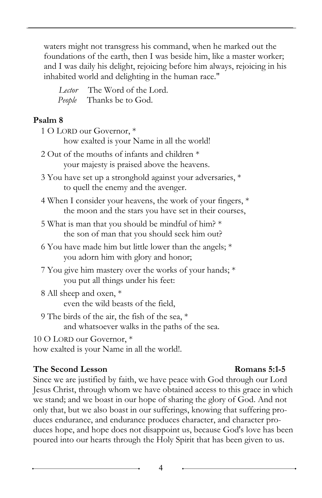waters might not transgress his command, when he marked out the foundations of the earth, then I was beside him, like a master worker; and I was daily his delight, rejoicing before him always, rejoicing in his inhabited world and delighting in the human race."

Lector The Word of the Lord. People Thanks be to God.

#### Psalm 8

| 1 O LORD our Governor, *                                                                                             |
|----------------------------------------------------------------------------------------------------------------------|
| how exalted is your Name in all the world!                                                                           |
| 2 Out of the mouths of infants and children *<br>your majesty is praised above the heavens.                          |
| 3 You have set up a stronghold against your adversaries, *<br>to quell the enemy and the avenger.                    |
| 4 When I consider your heavens, the work of your fingers, *<br>the moon and the stars you have set in their courses, |
| 5 What is man that you should be mindful of him? *<br>the son of man that you should seek him out?                   |
| 6 You have made him but little lower than the angels; *<br>you adorn him with glory and honor;                       |
| 7 You give him mastery over the works of your hands; *<br>you put all things under his feet:                         |
| 8 All sheep and oxen, *<br>even the wild beasts of the field,                                                        |
| 9 The birds of the air, the fish of the sea, *<br>and whatsoever walks in the paths of the sea.                      |
| 10 O LORD our Governor, *<br>how exalted is your Name in all the world!.                                             |

#### The Second Lesson Romans 5:1-5

Since we are justified by faith, we have peace with God through our Lord Jesus Christ, through whom we have obtained access to this grace in which we stand; and we boast in our hope of sharing the glory of God. And not only that, but we also boast in our sufferings, knowing that suffering produces endurance, and endurance produces character, and character produces hope, and hope does not disappoint us, because God's love has been poured into our hearts through the Holy Spirit that has been given to us.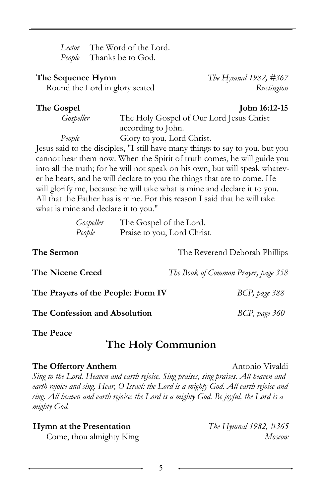Lector The Word of the Lord. People Thanks be to God.

#### **The Sequence Hymn**  $\qquad \qquad$  The Hymnal 1982, #367

Round the Lord in glory seated Rustington

#### The Gospel John 16:12-15

Gospeller The Holy Gospel of Our Lord Jesus Christ according to John. People Glory to you, Lord Christ.

Jesus said to the disciples, "I still have many things to say to you, but you cannot bear them now. When the Spirit of truth comes, he will guide you into all the truth; for he will not speak on his own, but will speak whatever he hears, and he will declare to you the things that are to come. He will glorify me, because he will take what is mine and declare it to you. All that the Father has is mine. For this reason I said that he will take what is mine and declare it to you."

| Gospeller | The Gospel of the Lord.     |
|-----------|-----------------------------|
| People    | Praise to you, Lord Christ. |

The Sermon The Reverend Deborah Phillips

The Nicene Creed The Book of Common Prayer, page 358

The Prayers of the People: Form IV BCP, page 388

The Confession and Absolution BCP, page 360

The Peace

#### The Holy Communion

#### The Offertory Anthem Antonio Vivaldi

Sing to the Lord. Heaven and earth rejoice. Sing praises, sing praises. All heaven and earth rejoice and sing. Hear, O Israel: the Lord is a mighty God. All earth rejoice and sing. All heaven and earth rejoice: the Lord is a mighty God. Be joyful, the Lord is a mighty God.

**Hymn at the Presentation** The Hymnal 1982,  $\#365$ 

Come, thou almighty King Moscow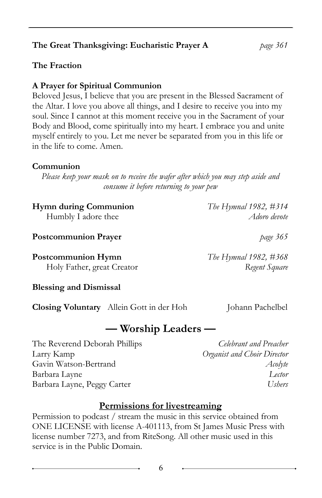#### Hymn during Communion The Hymnal 1982, #314 Humbly I adore thee Adoro devote

**Postcommunion Prayer** page 365

**Postcommunion Hymn**  $\blacksquare$   $\blacksquare$   $\blacksquare$   $\blacksquare$   $\blacksquare$   $\blacksquare$   $\blacksquare$   $\blacksquare$   $\blacksquare$   $\blacksquare$   $\blacksquare$   $\blacksquare$   $\blacksquare$   $\blacksquare$   $\blacksquare$   $\blacksquare$   $\blacksquare$   $\blacksquare$   $\blacksquare$   $\blacksquare$   $\blacksquare$   $\blacksquare$   $\blacksquare$   $\blacksquare$   $\blacksquare$   $\blacksquare$   $\blacksquare$   $\blacksquare$   $\blacks$ Holy Father, great Creator Regent Square

Blessing and Dismissal

**Closing Voluntary** Allein Gott in der Hoh Johann Pachelbel

#### — Worship Leaders —

The Reverend Deborah Phillips Celebrant and Preacher Larry Kamp **Channel Communisty** Creamist and Choir Director Gavin Watson-Bertrand Acolyte Barbara Layne Lector Barbara Layne, Peggy Carter Ushers Ushers

#### Permission to podcast / stream the music in this service obtained from ONE LICENSE with license A-401113, from St James Music Press with license number 7273, and from RiteSong. All other music used in this service is in the Public Domain.

Permissions for livestreaming

Please keep your mask on to receive the wafer after which you may step aside and consume it before returning to your pew

| Body and Blood, come spiritually into my heart. I embrace you and unite    |
|----------------------------------------------------------------------------|
| myself entirely to you. Let me never be separated from you in this life or |
| in the life to come. Amen.                                                 |
|                                                                            |
| Communion                                                                  |

Beloved Jesus, I believe that you are present in the Blessed Sacrament of the Altar. I love you above all things, and I desire to receive you into my soul. Since I cannot at this moment receive you in the Sacrament of your

#### A Prayer for Spiritual Communion

The Fraction

#### The Great Thanksgiving: Eucharistic Prayer A page 361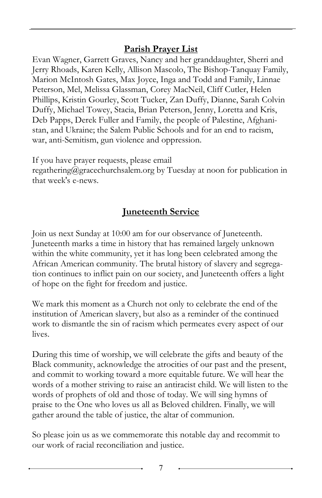#### Parish Prayer List

Evan Wagner, Garrett Graves, Nancy and her granddaughter, Sherri and Jerry Rhoads, Karen Kelly, Allison Mascolo, The Bishop-Tanquay Family, Marion McIntosh Gates, Max Joyce, Inga and Todd and Family, Linnae Peterson, Mel, Melissa Glassman, Corey MacNeil, Cliff Cutler, Helen Phillips, Kristin Gourley, Scott Tucker, Zan Duffy, Dianne, Sarah Colvin Duffy, Michael Towey, Stacia, Brian Peterson, Jenny, Loretta and Kris, Deb Papps, Derek Fuller and Family, the people of Palestine, Afghanistan, and Ukraine; the Salem Public Schools and for an end to racism, war, anti-Semitism, gun violence and oppression.

If you have prayer requests, please email

regathering@gracechurchsalem.org by Tuesday at noon for publication in that week's e-news.

#### **Juneteenth Service**

Join us next Sunday at 10:00 am for our observance of Juneteenth. Juneteenth marks a time in history that has remained largely unknown within the white community, yet it has long been celebrated among the African American community. The brutal history of slavery and segregation continues to inflict pain on our society, and Juneteenth offers a light of hope on the fight for freedom and justice.

We mark this moment as a Church not only to celebrate the end of the institution of American slavery, but also as a reminder of the continued work to dismantle the sin of racism which permeates every aspect of our lives.

During this time of worship, we will celebrate the gifts and beauty of the Black community, acknowledge the atrocities of our past and the present, and commit to working toward a more equitable future. We will hear the words of a mother striving to raise an antiracist child. We will listen to the words of prophets of old and those of today. We will sing hymns of praise to the One who loves us all as Beloved children. Finally, we will gather around the table of justice, the altar of communion.

So please join us as we commemorate this notable day and recommit to our work of racial reconciliation and justice.